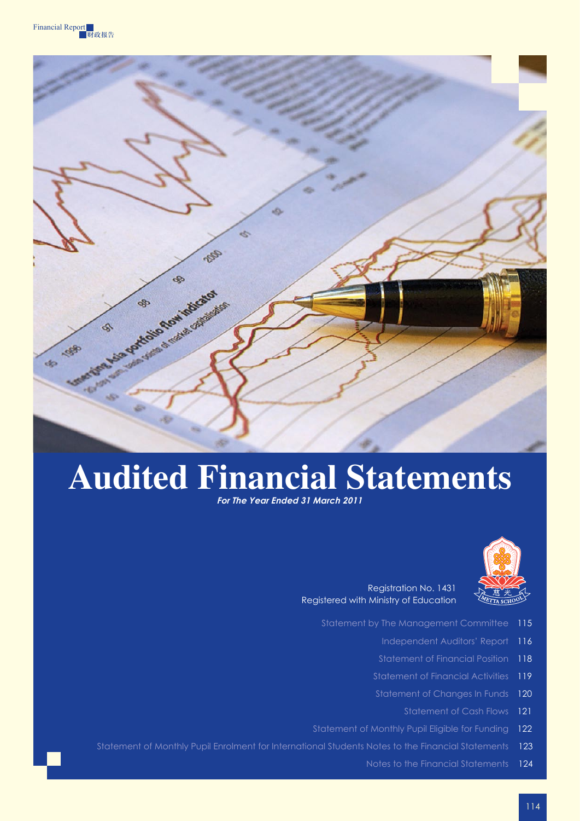

# **Audited Financial Statements**

*For The Year Ended 31 March 2011* 



Registration No. 1431 Registered with Ministry of Education

- Statement by The Management Committee 115
	- Independent Auditors' Report 116
	- Statement of Financial Position 118
	- Statement of Financial Activities 119
	- Statement of Changes In Funds 120
		- Statement of Cash Flows 121
- Statement of Monthly Pupil Eligible for Funding 122
- Statement of Monthly Pupil Enrolment for International Students Notes to the Financial Statements 123
	- Notes to the Financial Statements 124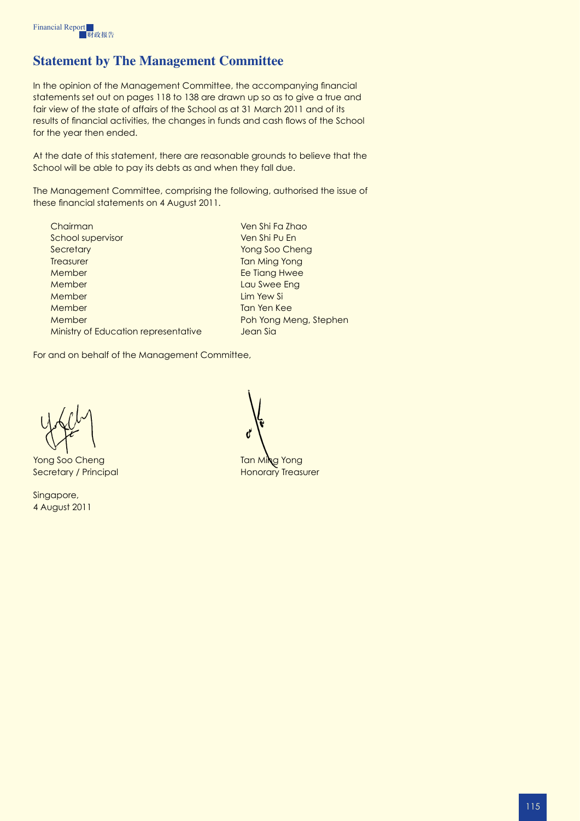# **Statement by The Management Committee**

In the opinion of the Management Committee, the accompanying financial statements set out on pages 118 to 138 are drawn up so as to give a true and fair view of the state of affairs of the School as at 31 March 2011 and of its results of financial activities, the changes in funds and cash flows of the School for the year then ended.

At the date of this statement, there are reasonable grounds to believe that the School will be able to pay its debts as and when they fall due.

The Management Committee, comprising the following, authorised the issue of these financial statements on 4 August 2011.

| Chairman                             | Ven Shi Fa Zhao        |
|--------------------------------------|------------------------|
| School supervisor                    | Ven Shi Pu En          |
| Secretary                            | Yong Soo Cheng         |
| Treasurer                            | <b>Tan Ming Yong</b>   |
| Member                               | Ee Tiang Hwee          |
| Member                               | Lau Swee Eng           |
| Member                               | Lim Yew Si             |
| Member                               | Tan Yen Kee            |
| Member                               | Poh Yong Meng, Stephen |
| Ministry of Education representative | Jean Sia               |
|                                      |                        |

For and on behalf of the Management Committee,

Yong Soo Cheng Tan Ming Yong Secretary / Principal Honorary Treasurer

Singapore, 4 August 2011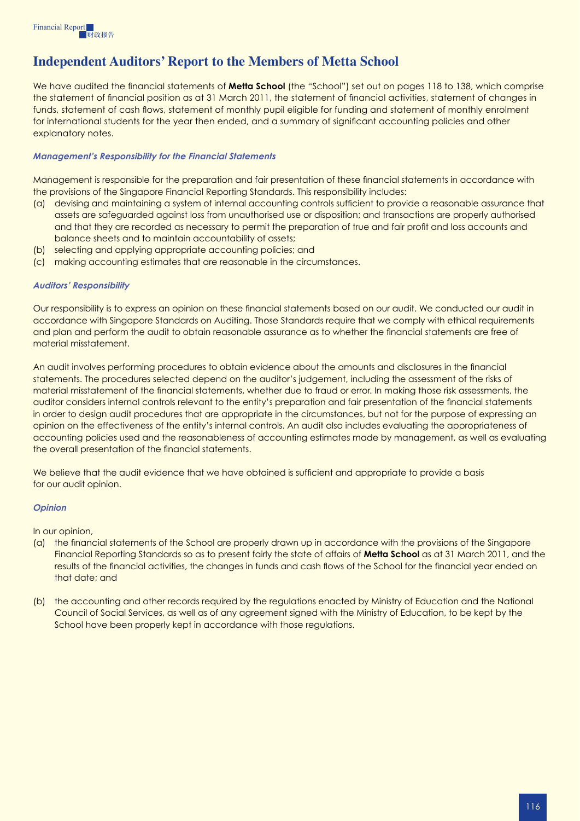# **Independent Auditors' Report to the Members of Metta School**

We have audited the financial statements of **Metta School** (the "School") set out on pages 118 to 138, which comprise the statement of financial position as at 31 March 2011, the statement of financial activities, statement of changes in funds, statement of cash flows, statement of monthly pupil eligible for funding and statement of monthly enrolment for international students for the year then ended, and a summary of significant accounting policies and other explanatory notes.

#### *Management's Responsibility for the Financial Statements*

Management is responsible for the preparation and fair presentation of these financial statements in accordance with the provisions of the Singapore Financial Reporting Standards. This responsibility includes:

- (a) devising and maintaining a system of internal accounting controls sufficient to provide a reasonable assurance that assets are safeguarded against loss from unauthorised use or disposition; and transactions are properly authorised and that they are recorded as necessary to permit the preparation of true and fair profit and loss accounts and balance sheets and to maintain accountability of assets;
- (b) selecting and applying appropriate accounting policies; and
- (c) making accounting estimates that are reasonable in the circumstances.

#### *Auditors' Responsibility*

Our responsibility is to express an opinion on these financial statements based on our audit. We conducted our audit in accordance with Singapore Standards on Auditing. Those Standards require that we comply with ethical requirements and plan and perform the audit to obtain reasonable assurance as to whether the financial statements are free of material misstatement.

An audit involves performing procedures to obtain evidence about the amounts and disclosures in the financial statements. The procedures selected depend on the auditor's judgement, including the assessment of the risks of material misstatement of the financial statements, whether due to fraud or error. In making those risk assessments, the auditor considers internal controls relevant to the entity's preparation and fair presentation of the financial statements in order to design audit procedures that are appropriate in the circumstances, but not for the purpose of expressing an opinion on the effectiveness of the entity's internal controls. An audit also includes evaluating the appropriateness of accounting policies used and the reasonableness of accounting estimates made by management, as well as evaluating the overall presentation of the financial statements.

We believe that the audit evidence that we have obtained is sufficient and appropriate to provide a basis for our audit opinion.

#### *Opinion*

In our opinion,

- (a) the financial statements of the School are properly drawn up in accordance with the provisions of the Singapore Financial Reporting Standards so as to present fairly the state of affairs of **Metta School** as at 31 March 2011, and the results of the financial activities, the changes in funds and cash flows of the School for the financial year ended on that date; and
- (b) the accounting and other records required by the regulations enacted by Ministry of Education and the National Council of Social Services, as well as of any agreement signed with the Ministry of Education, to be kept by the School have been properly kept in accordance with those regulations.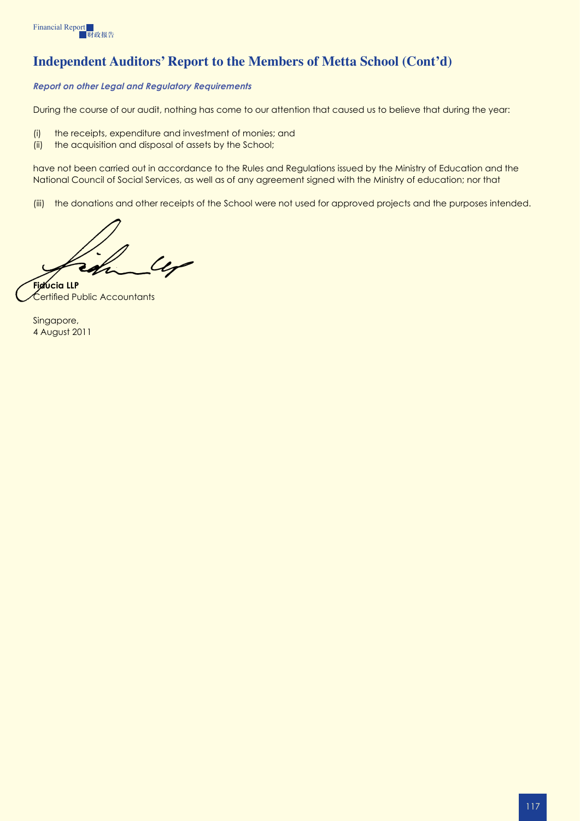# **Independent Auditors' Report to the Members of Metta School (Cont'd)**

#### *Report on other Legal and Regulatory Requirements*

During the course of our audit, nothing has come to our attention that caused us to believe that during the year:

- (i) the receipts, expenditure and investment of monies; and
- (ii) the acquisition and disposal of assets by the School;

have not been carried out in accordance to the Rules and Regulations issued by the Ministry of Education and the National Council of Social Services, as well as of any agreement signed with the Ministry of education; nor that

(iii) the donations and other receipts of the School were not used for approved projects and the purposes intended.

**Fiducia LLP** Certified Public Accountants

Singapore, 4 August 2011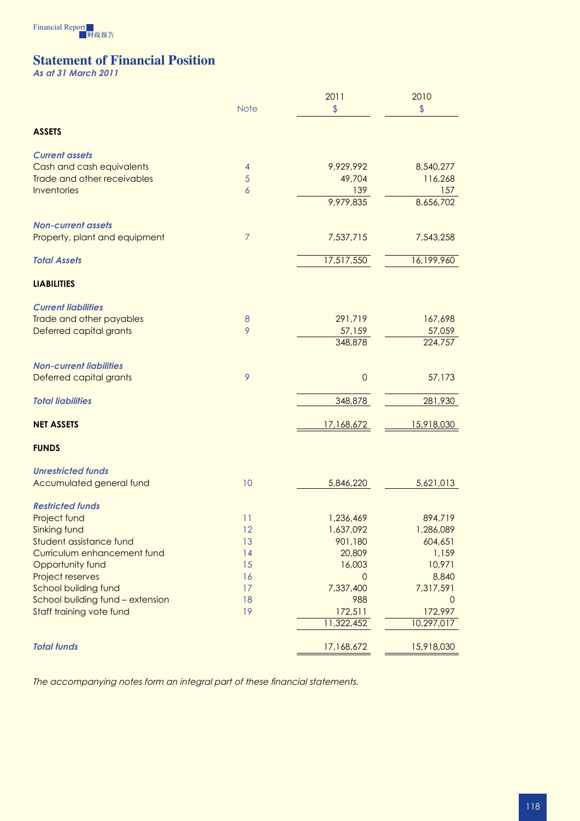

# **Statement of Financial Position**

*As at 31 March 2011* 

|                                  |                | 2011        | 2010          |
|----------------------------------|----------------|-------------|---------------|
|                                  | <b>Note</b>    | \$          | $\frac{1}{2}$ |
|                                  |                |             |               |
| <b>ASSETS</b>                    |                |             |               |
| <b>Current assets</b>            |                |             |               |
| Cash and cash equivalents        | $\overline{4}$ | 9,929,992   | 8,540,277     |
| Trade and other receivables      | 5              | 49,704      | 116,268       |
| Inventories                      | 6              | 139         | 157           |
|                                  |                | 9,979,835   | 8,656,702     |
| <b>Non-current assets</b>        |                |             |               |
| Property, plant and equipment    | $\overline{7}$ | 7,537,715   | 7,543,258     |
|                                  |                |             |               |
| <b>Total Assets</b>              |                | 17,517,550  | 16,199,960    |
| <b>LIABILITIES</b>               |                |             |               |
| <b>Current liabilities</b>       |                |             |               |
| Trade and other payables         | $\, 8$         | 291,719     | 167,698       |
| Deferred capital grants          | 9              | 57,159      | 57,059        |
|                                  |                | 348,878     | 224,757       |
|                                  |                |             |               |
| <b>Non-current liabilities</b>   |                |             |               |
| Deferred capital grants          | 9              | $\mathbf 0$ | 57,173        |
| <b>Total liabilities</b>         |                | 348,878     | 281,930       |
|                                  |                |             |               |
| <b>NET ASSETS</b>                |                | 17,168,672  | 15,918,030    |
| <b>FUNDS</b>                     |                |             |               |
| <b>Unrestricted funds</b>        |                |             |               |
| Accumulated general fund         | 10             | 5,846,220   | 5,621,013     |
| <b>Restricted funds</b>          |                |             |               |
| Project fund                     | 11             | 1,236,469   | 894,719       |
| Sinking fund                     | 12             | 1,637,092   | 1,286,089     |
| Student assistance fund          | 13             | 901,180     | 604,651       |
| Curriculum enhancement fund      | 14             | 20,809      | 1,159         |
| Opportunity fund                 | 15             | 16,003      | 10,971        |
| Project reserves                 | 16             | $\mathbf 0$ | 8,840         |
| School building fund             | 17             | 7,337,400   | 7,317,591     |
| School building fund - extension | 18             | 988         | 0             |
| Staff training vote fund         | 19             | 172,511     | 172,997       |
|                                  |                | 11,322,452  | 10,297,017    |
| <b>Total funds</b>               |                | 17,168,672  | 15,918,030    |

*The accompanying notes form an integral part of these financial statements.*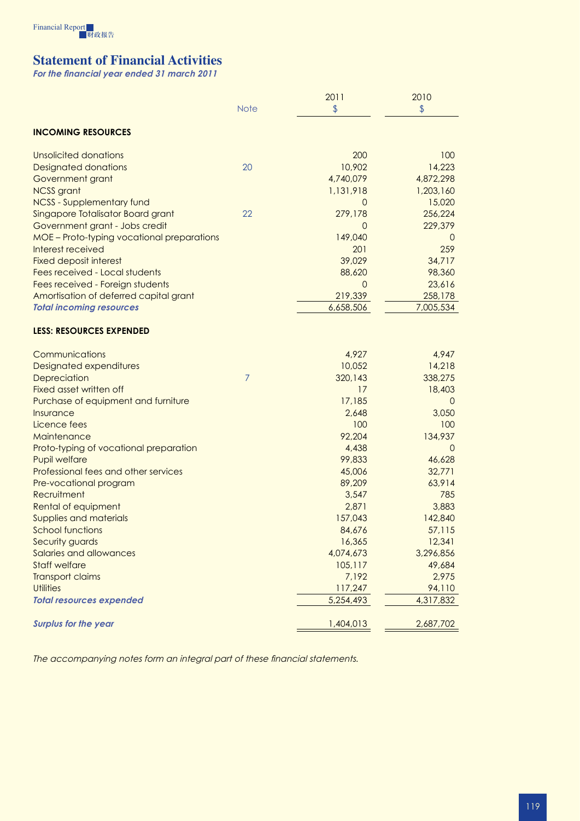

# **Statement of Financial Activities**

*For the financial year ended 31 march 2011*

|                                            |                | 2011      | 2010           |
|--------------------------------------------|----------------|-----------|----------------|
|                                            | <b>Note</b>    | \$        | \$             |
| <b>INCOMING RESOURCES</b>                  |                |           |                |
|                                            |                |           |                |
| <b>Unsolicited donations</b>               |                | 200       | 100            |
| <b>Designated donations</b>                | 20             | 10,902    | 14,223         |
| Government grant                           |                | 4,740,079 | 4,872,298      |
| <b>NCSS</b> grant                          |                | 1,131,918 | 1,203,160      |
| <b>NCSS - Supplementary fund</b>           |                | $\Omega$  | 15,020         |
| Singapore Totalisator Board grant          | 22             | 279,178   | 256,224        |
| Government grant - Jobs credit             |                | $\Omega$  | 229,379        |
| MOE - Proto-typing vocational preparations |                | 149,040   | $\overline{0}$ |
| Interest received                          |                | 201       | 259            |
| <b>Fixed deposit interest</b>              |                | 39,029    | 34,717         |
| Fees received - Local students             |                | 88,620    | 98,360         |
| Fees received - Foreign students           |                | 0         | 23,616         |
| Amortisation of deferred capital grant     |                | 219,339   | 258,178        |
| <b>Total incoming resources</b>            |                | 6,658,506 | 7,005,534      |
|                                            |                |           |                |
| <b>LESS: RESOURCES EXPENDED</b>            |                |           |                |
| Communications                             |                | 4,927     | 4,947          |
| <b>Designated expenditures</b>             |                | 10,052    | 14,218         |
| Depreciation                               | $\overline{7}$ | 320,143   | 338,275        |
| Fixed asset written off                    |                | 17        | 18,403         |
| Purchase of equipment and furniture        |                | 17,185    | $\Omega$       |
| Insurance                                  |                | 2,648     | 3,050          |
| Licence fees                               |                | 100       | 100            |
| Maintenance                                |                | 92,204    | 134,937        |
| Proto-typing of vocational preparation     |                | 4,438     | $\Omega$       |
| Pupil welfare                              |                | 99,833    | 46,628         |
| Professional fees and other services       |                | 45,006    | 32,771         |
| Pre-vocational program                     |                | 89,209    | 63,914         |
| Recruitment                                |                | 3,547     | 785            |
| Rental of equipment                        |                | 2,871     | 3,883          |
| Supplies and materials                     |                | 157,043   | 142,840        |
| <b>School functions</b>                    |                | 84,676    | 57,115         |
| Security guards                            |                | 16,365    | 12,341         |
| Salaries and allowances                    |                | 4,074,673 | 3,296,856      |
| <b>Staff welfare</b>                       |                | 105,117   | 49,684         |
| <b>Transport claims</b>                    |                | 7,192     | 2,975          |
| <b>Utilities</b>                           |                | 117,247   | 94,110         |
| <b>Total resources expended</b>            |                | 5,254,493 | 4,317,832      |
|                                            |                |           |                |
| <b>Surplus for the year</b>                |                | 1,404,013 | 2,687,702      |

*The accompanying notes form an integral part of these financial statements.*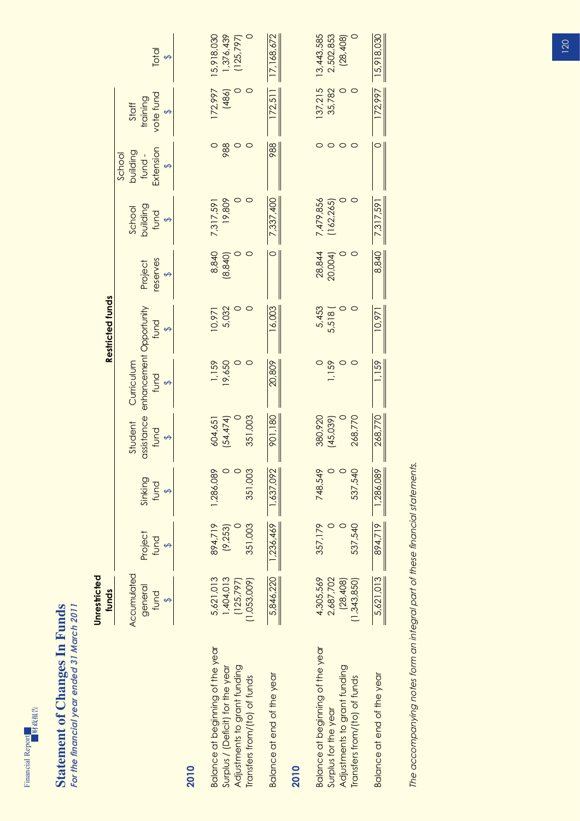|                                         | funds       |                         |           |                   |                         | <b>Restricted funds</b> |                   |                  |           |           |                   |
|-----------------------------------------|-------------|-------------------------|-----------|-------------------|-------------------------|-------------------------|-------------------|------------------|-----------|-----------|-------------------|
|                                         |             |                         |           |                   |                         |                         |                   |                  | School    |           |                   |
|                                         | Accumulated |                         |           | Student           | Curriculum              |                         |                   | School           | building  | Staff     |                   |
|                                         | general     | Project                 | Sinking   | assistance        | enhancement Opportunity |                         | Project           | building<br>fund | $fund -$  | training  |                   |
|                                         | fund        | fund                    | fund      | fund              | fund                    | fund                    | reserves          |                  | Extension | vote fund | Total             |
|                                         |             |                         |           | $\leftrightarrow$ | $\leftrightarrow$       | $\leftrightarrow$       | $\leftrightarrow$ |                  |           |           | $\leftrightarrow$ |
| 2010                                    |             |                         |           |                   |                         |                         |                   |                  |           |           |                   |
| <b>Balance at beginning of the year</b> | 5,621,013   | 894,719                 | 1,286,089 | 604,651           | 1,159                   | 10,971                  | 8,840             | 7,317,591        |           | 172,997   | 5,918,030         |
| Surplus / (Deficit) for the year        | 1,404,013   | (9, 253)                |           | (54, 474)         | 19,650                  | 5,032                   | (8, 840)          | 19,809           | 988       | (486)     | 1,376,439         |
| Adjustments to grant funding            | (125, 797)  |                         |           |                   |                         |                         |                   |                  |           |           | (125, 797)        |
| Transfers from/(to) of funds            | (1,053,009) | 351,003                 | 351,003   | 351,003           |                         |                         |                   |                  |           |           | $\circ$           |
| <b>Balance at end of the year</b>       | 5,846,220   | $1,236,469$ $1,637,092$ |           | 901,180           | 20,809                  | 16,003                  |                   | 7,337,400        | 988       | 172,511   | 17,168,672        |
| 2010                                    |             |                         |           |                   |                         |                         |                   |                  |           |           |                   |
| <b>Balance at beginning of the year</b> | 4,305,569   | 357,179                 | 748,549   | 380,920           |                         | 5,453                   | 28,844            | 7,479,856        |           | 137,215   | 13,443,585        |
| Surplus for the year                    | 2,687,702   |                         |           | (45,039)          | 1,159                   | 5,518                   | 20,004)           | 162,265)         |           | 35,782    | 2,502,853         |
| Adjustments to grant funding            | (28, 408)   |                         |           |                   |                         |                         |                   |                  |           |           | (28, 408)         |
| Transfers from/(to) of funds            | (1,343,850) | 537,540                 | 537,540   | 268,770           |                         |                         |                   |                  |           |           |                   |
| Balance at end of the year              | 5,621,013   | 894,719                 | 1,286,085 | 268,770           | 1,159                   | 10,97                   | 8,840             | 7,317,59         |           | 172,997   | 15,918,030        |
|                                         |             |                         |           |                   |                         |                         |                   |                  |           |           |                   |

Financial Report Financial Report<br>财政报告 **Statement of Changes In Funds** *For the financial year ended 31 March 2011* 

**Statement of Changes In Funds**<br>For the financial year ended 31 March 2011

**Unrestricted**

Unrestricted

The accompanying notes form an integral part of these financial statements. *The accompanying notes form an integral part of these financial statements.*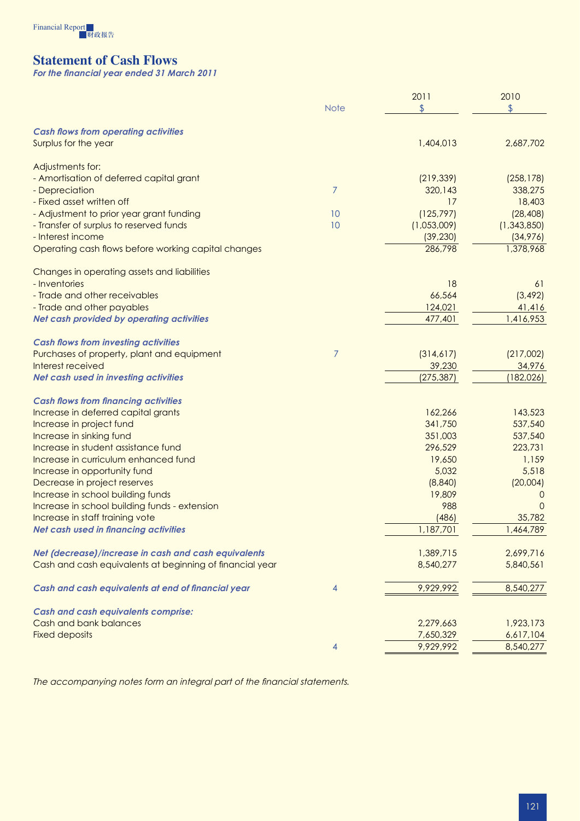

# **Statement of Cash Flows**

*For the financial year ended 31 March 2011* 

|                                                          |             | 2011        | 2010        |
|----------------------------------------------------------|-------------|-------------|-------------|
|                                                          | <b>Note</b> | \$          | \$          |
|                                                          |             |             |             |
| <b>Cash flows from operating activities</b>              |             |             |             |
| Surplus for the year                                     |             | 1,404,013   | 2,687,702   |
| Adjustments for:                                         |             |             |             |
| - Amortisation of deferred capital grant                 |             | (219, 339)  | (258, 178)  |
| - Depreciation                                           | 7           | 320,143     | 338,275     |
| - Fixed asset written off                                |             | 17          | 18,403      |
| - Adjustment to prior year grant funding                 | 10          | (125, 797)  | (28, 408)   |
| - Transfer of surplus to reserved funds                  | 10          | (1,053,009) | (1,343,850) |
| - Interest income                                        |             | (39, 230)   | (34,976)    |
| Operating cash flows before working capital changes      |             | 286,798     | 1,378,968   |
| Changes in operating assets and liabilities              |             |             |             |
| - Inventories                                            |             | 18          | 61          |
| - Trade and other receivables                            |             | 66,564      | (3, 492)    |
| - Trade and other payables                               |             | 124,021     | 41,416      |
| Net cash provided by operating activities                |             | 477,401     | 1,416,953   |
|                                                          |             |             |             |
| <b>Cash flows from investing activities</b>              |             |             |             |
| Purchases of property, plant and equipment               | 7           | (314,617)   | (217,002)   |
| Interest received                                        |             | 39,230      | 34,976      |
| Net cash used in investing activities                    |             | (275, 387)  | (182,026)   |
| <b>Cash flows from financing activities</b>              |             |             |             |
| Increase in deferred capital grants                      |             | 162,266     | 143,523     |
| Increase in project fund                                 |             | 341,750     | 537,540     |
| Increase in sinking fund                                 |             | 351,003     | 537,540     |
| Increase in student assistance fund                      |             | 296,529     | 223,731     |
| Increase in curriculum enhanced fund                     |             | 19,650      | 1,159       |
| Increase in opportunity fund                             |             | 5,032       | 5,518       |
| Decrease in project reserves                             |             | (8,840)     | (20,004)    |
| Increase in school building funds                        |             | 19,809      | 0           |
| Increase in school building funds - extension            |             | 988         | $\Omega$    |
| Increase in staff training vote                          |             | (486)       | 35,782      |
| <b>Net cash used in financing activities</b>             |             | 1,187,701   | 1,464,789   |
| Net (decrease)/increase in cash and cash equivalents     |             | 1,389,715   | 2,699,716   |
| Cash and cash equivalents at beginning of financial year |             | 8,540,277   | 5,840,561   |
| Cash and cash equivalents at end of financial year       | 4           | 9,929,992   | 8,540,277   |
| <b>Cash and cash equivalents comprise:</b>               |             |             |             |
| Cash and bank balances                                   |             | 2,279,663   | 1,923,173   |
| <b>Fixed deposits</b>                                    |             | 7,650,329   | 6,617,104   |
|                                                          | 4           | 9,929,992   | 8,540,277   |

*The accompanying notes form an integral part of the financial statements.*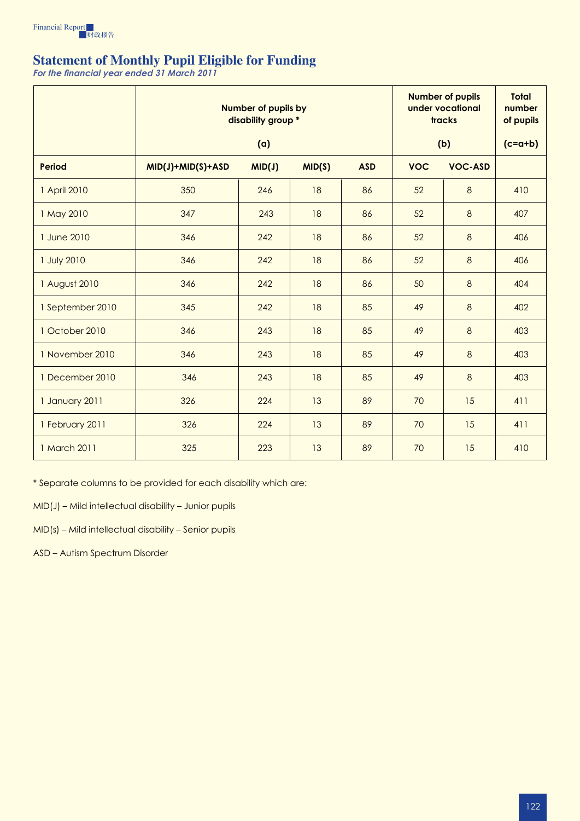

# **Statement of Monthly Pupil Eligible for Funding**

*For the financial year ended 31 March 2011* 

|                  |                   | Number of pupils by<br>disability group * |        |            |            | <b>Number of pupils</b><br>under vocational<br>tracks | <b>Total</b><br>number<br>of pupils |
|------------------|-------------------|-------------------------------------------|--------|------------|------------|-------------------------------------------------------|-------------------------------------|
|                  |                   | (a)                                       |        |            |            | (b)                                                   | $(c=a+b)$                           |
| <b>Period</b>    | MID(J)+MID(S)+ASD | MID(J)                                    | MID(S) | <b>ASD</b> | <b>VOC</b> | <b>VOC-ASD</b>                                        |                                     |
| 1 April 2010     | 350               | 246                                       | 18     | 86         | 52         | $\delta$                                              | 410                                 |
| 1 May 2010       | 347               | 243                                       | 18     | 86         | 52         | 8                                                     | 407                                 |
| 1 June 2010      | 346               | 242                                       | 18     | 86         | 52         | $\delta$                                              | 406                                 |
| 1 July 2010      | 346               | 242                                       | 18     | 86         | 52         | $\delta$                                              | 406                                 |
| 1 August 2010    | 346               | 242                                       | 18     | 86         | 50         | 8                                                     | 404                                 |
| 1 September 2010 | 345               | 242                                       | 18     | 85         | 49         | 8                                                     | 402                                 |
| 1 October 2010   | 346               | 243                                       | 18     | 85         | 49         | 8                                                     | 403                                 |
| 1 November 2010  | 346               | 243                                       | 18     | 85         | 49         | 8                                                     | 403                                 |
| 1 December 2010  | 346               | 243                                       | 18     | 85         | 49         | 8                                                     | 403                                 |
| 1 January 2011   | 326               | 224                                       | 13     | 89         | 70         | 15                                                    | 411                                 |
| 1 February 2011  | 326               | 224                                       | 13     | 89         | 70         | 15                                                    | 411                                 |
| 1 March 2011     | 325               | 223                                       | 13     | 89         | 70         | 15                                                    | 410                                 |

\* Separate columns to be provided for each disability which are:

MID(J) – Mild intellectual disability – Junior pupils

MID(s) – Mild intellectual disability – Senior pupils

ASD – Autism Spectrum Disorder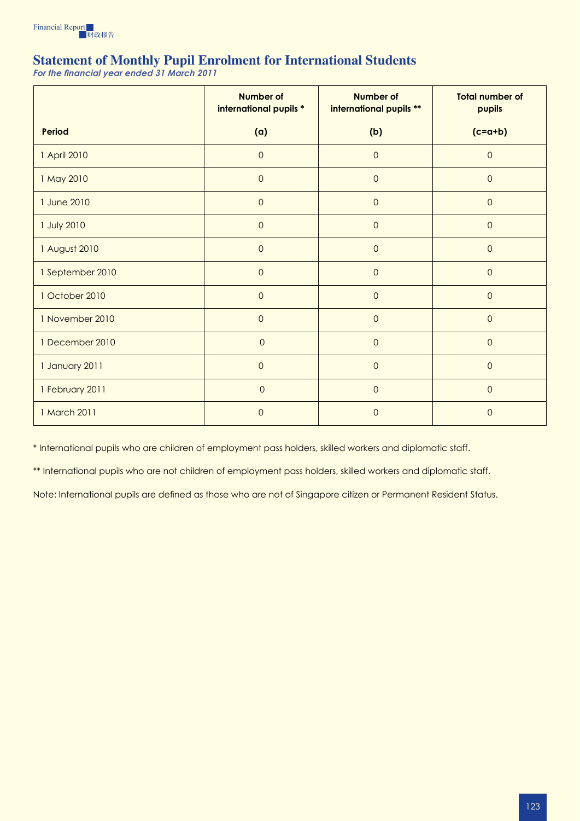

# **Statement of Monthly Pupil Enrolment for International Students**

*For the financial year ended 31 March 2011* 

|                  | <b>Number of</b><br>international pupils * | <b>Number of</b><br>international pupils ** | <b>Total number of</b><br>pupils |
|------------------|--------------------------------------------|---------------------------------------------|----------------------------------|
| <b>Period</b>    | (a)                                        | (b)                                         | $(c=a+b)$                        |
| 1 April 2010     | $\overline{0}$                             | $\mathbf{O}$                                | $\overline{0}$                   |
| 1 May 2010       | $\mathbf 0$                                | $\mathbf{0}$                                | $\mathbf{0}$                     |
| 1 June 2010      | $\mathsf{O}$                               | $\overline{0}$                              | $\mathbf{0}$                     |
| 1 July 2010      | $\overline{0}$                             | $\overline{0}$                              | $\overline{0}$                   |
| 1 August 2010    | $\mathsf{O}$                               | $\overline{0}$                              | $\mathbf{0}$                     |
| 1 September 2010 | $\overline{0}$                             | $\overline{0}$                              | $\overline{0}$                   |
| 1 October 2010   | $\mathbf 0$                                | $\circ$                                     | $\overline{0}$                   |
| 1 November 2010  | $\mathsf{O}\xspace$                        | $\mathsf{O}\xspace$                         | $\overline{0}$                   |
| 1 December 2010  | $\circ$                                    | $\overline{0}$                              | $\circ$                          |
| 1 January 2011   | $\overline{0}$                             | $\mathbf 0$                                 | $\mathbf{0}$                     |
| 1 February 2011  | $\mathbf{0}$                               | $\mathsf{O}\xspace$                         | $\circ$                          |
| 1 March 2011     | $\overline{0}$                             | $\mathbf{O}$                                | $\mathbf 0$                      |

\* International pupils who are children of employment pass holders, skilled workers and diplomatic staff.

\*\* International pupils who are not children of employment pass holders, skilled workers and diplomatic staff.

Note: International pupils are defined as those who are not of Singapore citizen or Permanent Resident Status.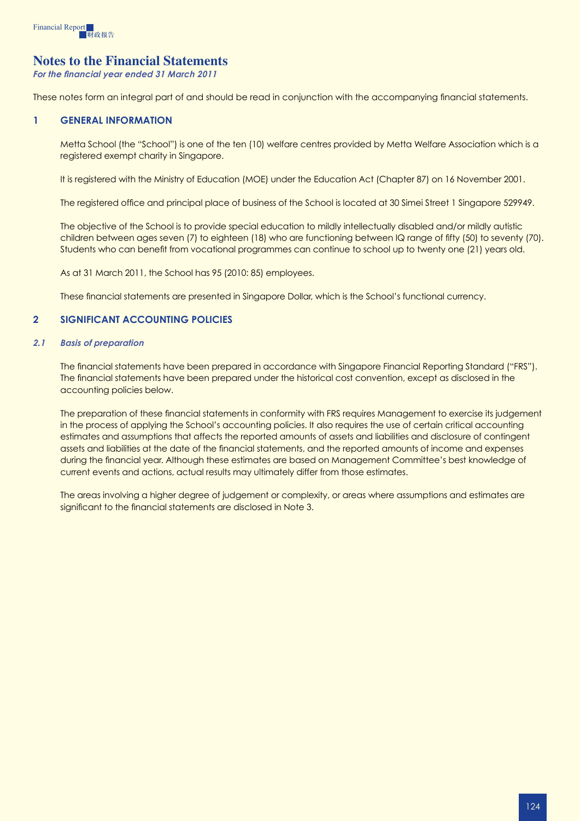

# **Notes to the Financial Statements**

*For the financial year ended 31 March 2011* 

These notes form an integral part of and should be read in conjunction with the accompanying financial statements.

#### **1 GENERAL INFORMATION**

Metta School (the "School") is one of the ten (10) welfare centres provided by Metta Welfare Association which is a registered exempt charity in Singapore.

It is registered with the Ministry of Education (MOE) under the Education Act (Chapter 87) on 16 November 2001.

The registered office and principal place of business of the School is located at 30 Simei Street 1 Singapore 529949.

The objective of the School is to provide special education to mildly intellectually disabled and/or mildly autistic children between ages seven (7) to eighteen (18) who are functioning between IQ range of fifty (50) to seventy (70). Students who can benefit from vocational programmes can continue to school up to twenty one (21) years old.

As at 31 March 2011, the School has 95 (2010: 85) employees.

These financial statements are presented in Singapore Dollar, which is the School's functional currency.

#### **2 Significant accounting policies**

#### *2.1 Basis of preparation*

The financial statements have been prepared in accordance with Singapore Financial Reporting Standard ("FRS"). The financial statements have been prepared under the historical cost convention, except as disclosed in the accounting policies below.

The preparation of these financial statements in conformity with FRS requires Management to exercise its judgement in the process of applying the School's accounting policies. It also requires the use of certain critical accounting estimates and assumptions that affects the reported amounts of assets and liabilities and disclosure of contingent assets and liabilities at the date of the financial statements, and the reported amounts of income and expenses during the financial year. Although these estimates are based on Management Committee's best knowledge of current events and actions, actual results may ultimately differ from those estimates.

The areas involving a higher degree of judgement or complexity, or areas where assumptions and estimates are significant to the financial statements are disclosed in Note 3.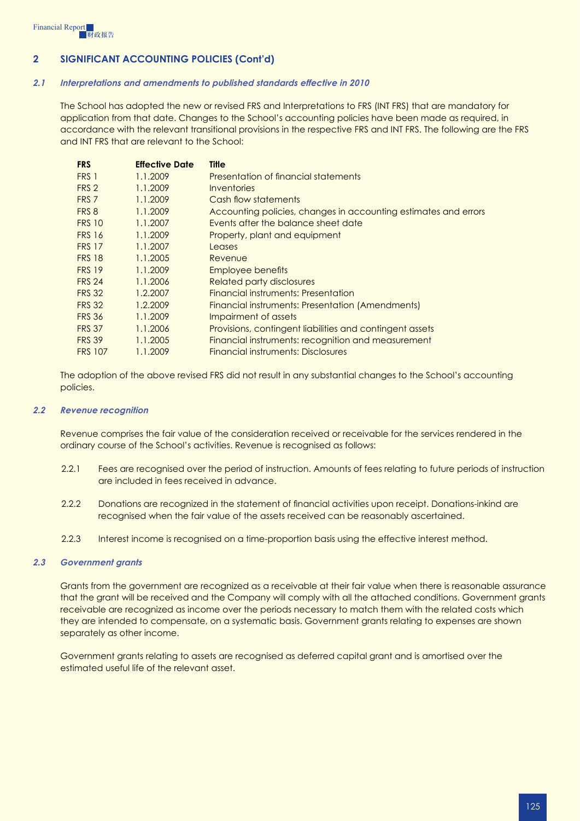#### *2.1 Interpretations and amendments to published standards effective in 2010*

The School has adopted the new or revised FRS and Interpretations to FRS (INT FRS) that are mandatory for application from that date. Changes to the School's accounting policies have been made as required, in accordance with the relevant transitional provisions in the respective FRS and INT FRS. The following are the FRS and INT FRS that are relevant to the School:

| <b>FRS</b>       | <b>Effective Date</b> | <b>Title</b>                                                    |
|------------------|-----------------------|-----------------------------------------------------------------|
| FRS 1            | 1.1.2009              | Presentation of financial statements                            |
| FRS <sub>2</sub> | 1.1.2009              | Inventories                                                     |
| FRS <sub>7</sub> | 1.1.2009              | Cash flow statements                                            |
| FRS <sub>8</sub> | 1.1.2009              | Accounting policies, changes in accounting estimates and errors |
| <b>FRS 10</b>    | 1.1.2007              | Events after the balance sheet date                             |
| <b>FRS 16</b>    | 1.1.2009              | Property, plant and equipment                                   |
| <b>FRS 17</b>    | 1.1.2007              | Leases                                                          |
| <b>FRS 18</b>    | 1.1.2005              | Revenue                                                         |
| <b>FRS 19</b>    | 1.1.2009              | <b>Employee benefits</b>                                        |
| <b>FRS 24</b>    | 1.1.2006              | Related party disclosures                                       |
| <b>FRS 32</b>    | 1.2.2007              | <b>Financial instruments: Presentation</b>                      |
| <b>FRS 32</b>    | 1.2.2009              | Financial instruments: Presentation (Amendments)                |
| <b>FRS 36</b>    | 1.1.2009              | Impairment of assets                                            |
| <b>FRS 37</b>    | 1.1.2006              | Provisions, contingent liabilities and contingent assets        |
| <b>FRS 39</b>    | 1.1.2005              | Financial instruments: recognition and measurement              |
| <b>FRS 107</b>   | 1.1.2009              | <b>Financial instruments: Disclosures</b>                       |

The adoption of the above revised FRS did not result in any substantial changes to the School's accounting policies.

#### *2.2 Revenue recognition*

Revenue comprises the fair value of the consideration received or receivable for the services rendered in the ordinary course of the School's activities. Revenue is recognised as follows:

- 2.2.1 Fees are recognised over the period of instruction. Amounts of fees relating to future periods of instruction are included in fees received in advance.
- 2.2.2 Donations are recognized in the statement of financial activities upon receipt. Donations-inkind are recognised when the fair value of the assets received can be reasonably ascertained.
- 2.2.3 Interest income is recognised on a time-proportion basis using the effective interest method.

#### *2.3 Government grants*

Grants from the government are recognized as a receivable at their fair value when there is reasonable assurance that the grant will be received and the Company will comply with all the attached conditions. Government grants receivable are recognized as income over the periods necessary to match them with the related costs which they are intended to compensate, on a systematic basis. Government grants relating to expenses are shown separately as other income.

Government grants relating to assets are recognised as deferred capital grant and is amortised over the estimated useful life of the relevant asset.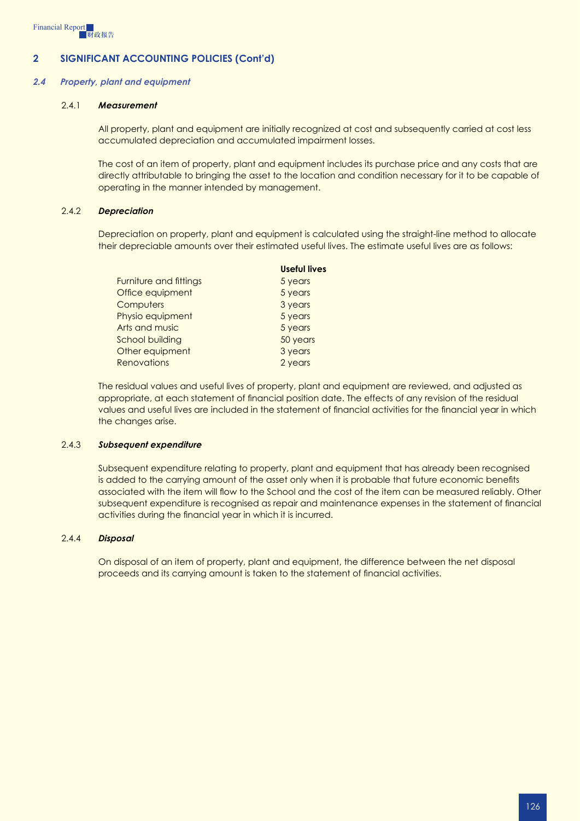#### *2.4 Property, plant and equipment*

#### 2.4.1 *Measurement*

All property, plant and equipment are initially recognized at cost and subsequently carried at cost less accumulated depreciation and accumulated impairment losses.

The cost of an item of property, plant and equipment includes its purchase price and any costs that are directly attributable to bringing the asset to the location and condition necessary for it to be capable of operating in the manner intended by management.

#### 2.4.2 *Depreciation*

Depreciation on property, plant and equipment is calculated using the straight-line method to allocate their depreciable amounts over their estimated useful lives. The estimate useful lives are as follows:

|                        | <b>Useful lives</b> |
|------------------------|---------------------|
| Furniture and fittings | 5 years             |
| Office equipment       | 5 years             |
| Computers              | 3 years             |
| Physio equipment       | 5 years             |
| Arts and music         | 5 years             |
| <b>School building</b> | 50 years            |
| Other equipment        | 3 years             |
| <b>Renovations</b>     | 2 years             |
|                        |                     |

The residual values and useful lives of property, plant and equipment are reviewed, and adjusted as appropriate, at each statement of financial position date. The effects of any revision of the residual values and useful lives are included in the statement of financial activities for the financial year in which the changes arise.

#### 2.4.3 *Subsequent expenditure*

Subsequent expenditure relating to property, plant and equipment that has already been recognised is added to the carrying amount of the asset only when it is probable that future economic benefits associated with the item will flow to the School and the cost of the item can be measured reliably. Other subsequent expenditure is recognised as repair and maintenance expenses in the statement of financial activities during the financial year in which it is incurred.

#### 2.4.4 *Disposal*

On disposal of an item of property, plant and equipment, the difference between the net disposal proceeds and its carrying amount is taken to the statement of financial activities.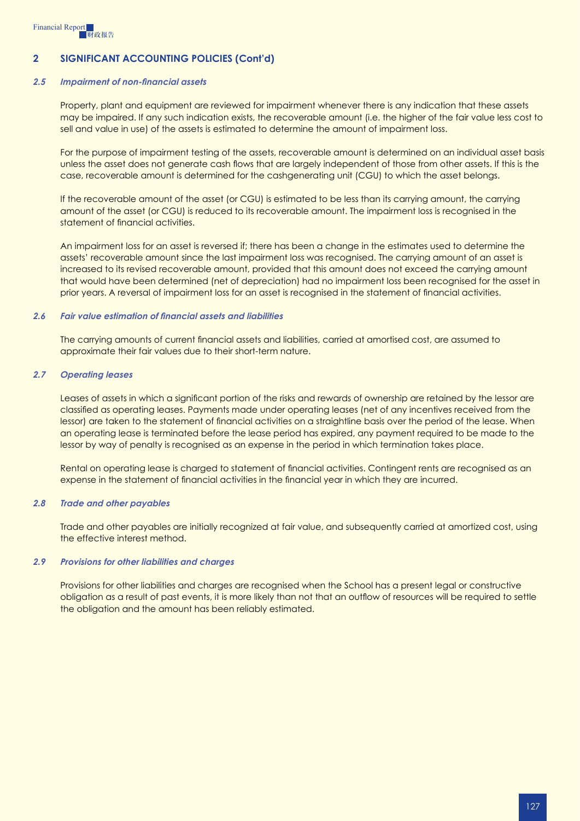#### *2.5 Impairment of non-financial assets*

Property, plant and equipment are reviewed for impairment whenever there is any indication that these assets may be impaired. If any such indication exists, the recoverable amount (i.e. the higher of the fair value less cost to sell and value in use) of the assets is estimated to determine the amount of impairment loss.

For the purpose of impairment testing of the assets, recoverable amount is determined on an individual asset basis unless the asset does not generate cash flows that are largely independent of those from other assets. If this is the case, recoverable amount is determined for the cashgenerating unit (CGU) to which the asset belongs.

If the recoverable amount of the asset (or CGU) is estimated to be less than its carrying amount, the carrying amount of the asset (or CGU) is reduced to its recoverable amount. The impairment loss is recognised in the statement of financial activities.

An impairment loss for an asset is reversed if; there has been a change in the estimates used to determine the assets' recoverable amount since the last impairment loss was recognised. The carrying amount of an asset is increased to its revised recoverable amount, provided that this amount does not exceed the carrying amount that would have been determined (net of depreciation) had no impairment loss been recognised for the asset in prior years. A reversal of impairment loss for an asset is recognised in the statement of financial activities.

#### *2.6 Fair value estimation of financial assets and liabilities*

The carrying amounts of current financial assets and liabilities, carried at amortised cost, are assumed to approximate their fair values due to their short-term nature.

#### *2.7 Operating leases*

Leases of assets in which a significant portion of the risks and rewards of ownership are retained by the lessor are classified as operating leases. Payments made under operating leases (net of any incentives received from the lessor) are taken to the statement of financial activities on a straightline basis over the period of the lease. When an operating lease is terminated before the lease period has expired, any payment required to be made to the lessor by way of penalty is recognised as an expense in the period in which termination takes place.

Rental on operating lease is charged to statement of financial activities. Contingent rents are recognised as an expense in the statement of financial activities in the financial year in which they are incurred.

#### *2.8 Trade and other payables*

Trade and other payables are initially recognized at fair value, and subsequently carried at amortized cost, using the effective interest method.

#### *2.9 Provisions for other liabilities and charges*

Provisions for other liabilities and charges are recognised when the School has a present legal or constructive obligation as a result of past events, it is more likely than not that an outflow of resources will be required to settle the obligation and the amount has been reliably estimated.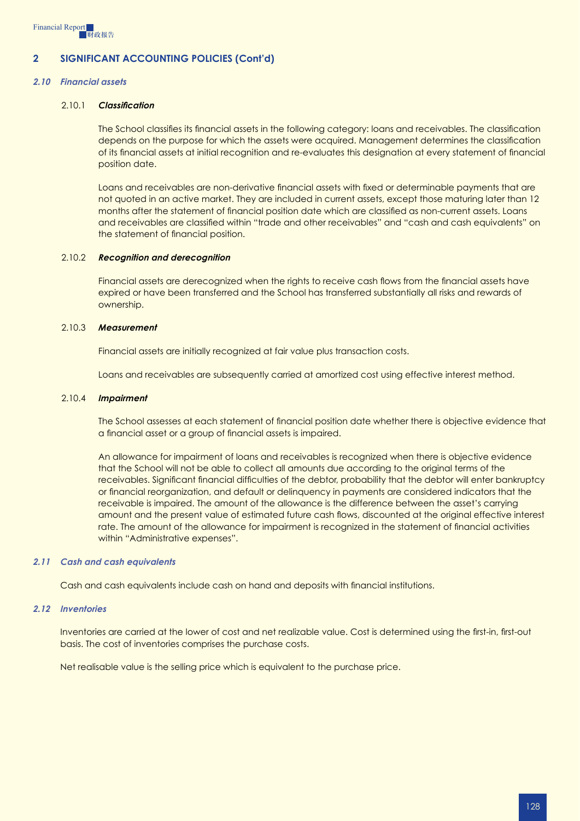#### *2.10 Financial assets*

#### 2.10.1 *Classification*

The School classifies its financial assets in the following category: loans and receivables. The classification depends on the purpose for which the assets were acquired. Management determines the classification of its financial assets at initial recognition and re-evaluates this designation at every statement of financial position date.

Loans and receivables are non-derivative financial assets with fixed or determinable payments that are not quoted in an active market. They are included in current assets, except those maturing later than 12 months after the statement of financial position date which are classified as non-current assets. Loans and receivables are classified within "trade and other receivables" and "cash and cash equivalents" on the statement of financial position.

#### 2.10.2 *Recognition and derecognition*

Financial assets are derecognized when the rights to receive cash flows from the financial assets have expired or have been transferred and the School has transferred substantially all risks and rewards of ownership.

#### 2.10.3 *Measurement*

Financial assets are initially recognized at fair value plus transaction costs.

Loans and receivables are subsequently carried at amortized cost using effective interest method.

#### 2.10.4 *Impairment*

The School assesses at each statement of financial position date whether there is objective evidence that a financial asset or a group of financial assets is impaired.

An allowance for impairment of loans and receivables is recognized when there is objective evidence that the School will not be able to collect all amounts due according to the original terms of the receivables. Significant financial difficulties of the debtor, probability that the debtor will enter bankruptcy or financial reorganization, and default or delinquency in payments are considered indicators that the receivable is impaired. The amount of the allowance is the difference between the asset's carrying amount and the present value of estimated future cash flows, discounted at the original effective interest rate. The amount of the allowance for impairment is recognized in the statement of financial activities within "Administrative expenses".

#### *2.11 Cash and cash equivalents*

Cash and cash equivalents include cash on hand and deposits with financial institutions.

#### *2.12 Inventories*

Inventories are carried at the lower of cost and net realizable value. Cost is determined using the first-in, first-out basis. The cost of inventories comprises the purchase costs.

Net realisable value is the selling price which is equivalent to the purchase price.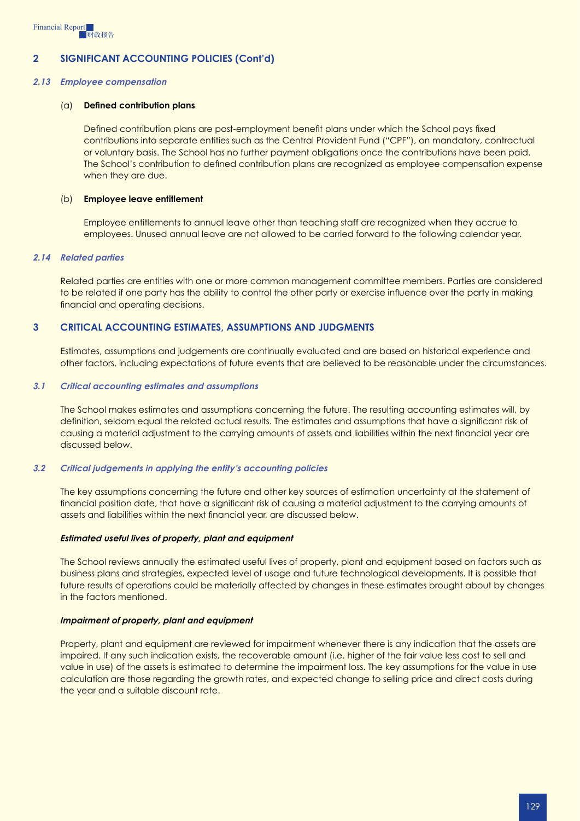#### *2.13 Employee compensation*

#### (a) **Defined contribution plans**

Defined contribution plans are post-employment benefit plans under which the School pays fixed contributions into separate entities such as the Central Provident Fund ("CPF"), on mandatory, contractual or voluntary basis. The School has no further payment obligations once the contributions have been paid. The School's contribution to defined contribution plans are recognized as employee compensation expense when they are due.

#### (b) **Employee leave entitlement**

Employee entitlements to annual leave other than teaching staff are recognized when they accrue to employees. Unused annual leave are not allowed to be carried forward to the following calendar year.

#### *2.14 Related parties*

Related parties are entities with one or more common management committee members. Parties are considered to be related if one party has the ability to control the other party or exercise influence over the party in making financial and operating decisions.

#### **3 Critical accounting estimates, assumptions and judgments**

Estimates, assumptions and judgements are continually evaluated and are based on historical experience and other factors, including expectations of future events that are believed to be reasonable under the circumstances.

#### *3.1 Critical accounting estimates and assumptions*

The School makes estimates and assumptions concerning the future. The resulting accounting estimates will, by definition, seldom equal the related actual results. The estimates and assumptions that have a significant risk of causing a material adjustment to the carrying amounts of assets and liabilities within the next financial year are discussed below.

#### *3.2 Critical judgements in applying the entity's accounting policies*

The key assumptions concerning the future and other key sources of estimation uncertainty at the statement of financial position date, that have a significant risk of causing a material adjustment to the carrying amounts of assets and liabilities within the next financial year, are discussed below.

#### *Estimated useful lives of property, plant and equipment*

The School reviews annually the estimated useful lives of property, plant and equipment based on factors such as business plans and strategies, expected level of usage and future technological developments. It is possible that future results of operations could be materially affected by changes in these estimates brought about by changes in the factors mentioned.

#### *Impairment of property, plant and equipment*

Property, plant and equipment are reviewed for impairment whenever there is any indication that the assets are impaired. If any such indication exists, the recoverable amount (i.e. higher of the fair value less cost to sell and value in use) of the assets is estimated to determine the impairment loss. The key assumptions for the value in use calculation are those regarding the growth rates, and expected change to selling price and direct costs during the year and a suitable discount rate.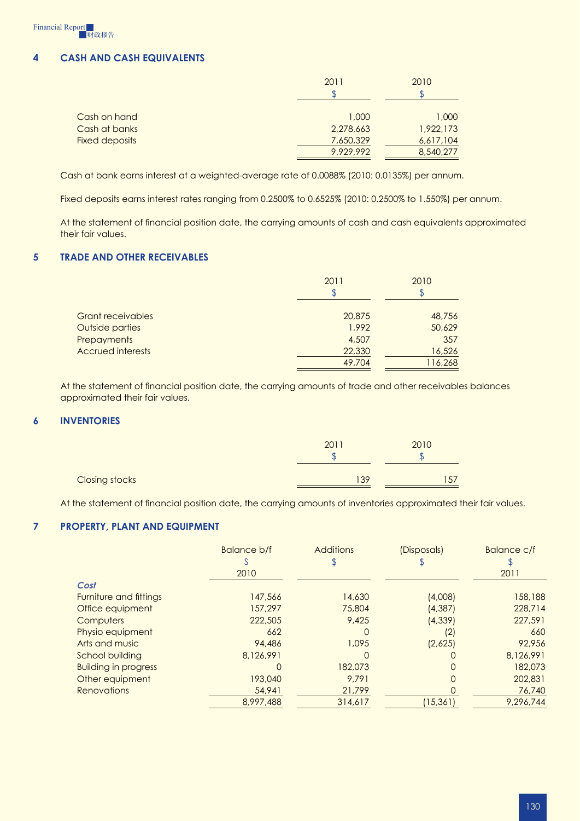

# **4 Cash and cash equivalents**

|                       | 2011      | 2010      |
|-----------------------|-----------|-----------|
| Cash on hand          | 1,000     | 1,000     |
| Cash at banks         | 2,278,663 | 1,922,173 |
| <b>Fixed deposits</b> | 7,650,329 | 6,617,104 |
|                       | 9,929,992 | 8,540,277 |

Cash at bank earns interest at a weighted-average rate of 0.0088% (2010: 0.0135%) per annum.

Fixed deposits earns interest rates ranging from 0.2500% to 0.6525% (2010: 0.2500% to 1.550%) per annum.

At the statement of financial position date, the carrying amounts of cash and cash equivalents approximated their fair values.

#### **5 Trade and other receivables**

|                          | 2011   | 2010<br>J |
|--------------------------|--------|-----------|
| <b>Grant receivables</b> | 20,875 | 48,756    |
| Outside parties          | 1,992  | 50,629    |
| Prepayments              | 4,507  | 357       |
| Accrued interests        | 22,330 | 16,526    |
|                          | 49,704 | 116,268   |

At the statement of financial position date, the carrying amounts of trade and other receivables balances approximated their fair values.

#### **6 Inventories**

|                       | 2011 | 2010 |
|-----------------------|------|------|
|                       |      | .    |
| <b>Closing stocks</b> | 39   | 157  |

At the statement of financial position date, the carrying amounts of inventories approximated their fair values.

## **7 Property, plant and equipment**

|                             | <b>Balance b/f</b> | <b>Additions</b> | (Disposals) | <b>Balance c/f</b> |
|-----------------------------|--------------------|------------------|-------------|--------------------|
|                             | 2010               |                  |             | 2011               |
| Cost                        |                    |                  |             |                    |
| Furniture and fittings      | 147,566            | 14,630           | (4,008)     | 158,188            |
| Office equipment            | 157.297            | 75,804           | (4, 387)    | 228,714            |
| Computers                   | 222,505            | 9,425            | (4,339)     | 227,591            |
| Physio equipment            | 662                | $\overline{0}$   | (2)         | 660                |
| Arts and music              | 94,486             | 1,095            | (2,625)     | 92,956             |
| School building             | 8.126.991          | $\Omega$         |             | 8,126,991          |
| <b>Building in progress</b> |                    | 182,073          |             | 182,073            |
| Other equipment             | 193,040            | 9.791            |             | 202,831            |
| <b>Renovations</b>          | 54,941             | 21,799           |             | 76,740             |
|                             | 8,997,488          | 314,617          | (15, 361)   | 9,296,744          |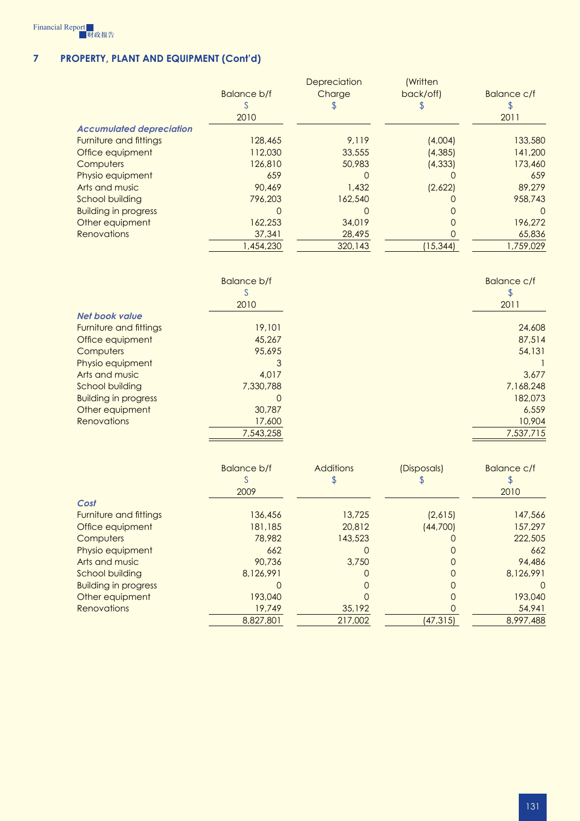

# **7 Property, plant and equipment (Cont'd)**

|                                 |             | Depreciation | (Written  |             |
|---------------------------------|-------------|--------------|-----------|-------------|
|                                 | Balance b/f | Charge       | back/off) | Balance c/f |
|                                 |             |              |           |             |
|                                 | 2010        |              |           | 2011        |
| <b>Accumulated depreciation</b> |             |              |           |             |
| Furniture and fittings          | 128,465     | 9.119        | (4,004)   | 133,580     |
| Office equipment                | 112,030     | 33,555       | (4, 385)  | 141,200     |
| <b>Computers</b>                | 126,810     | 50,983       | (4, 333)  | 173,460     |
| Physio equipment                | 659         |              |           | 659         |
| Arts and music                  | 90,469      | 1,432        | (2,622)   | 89,279      |
| School building                 | 796,203     | 162,540      |           | 958,743     |
| <b>Building in progress</b>     |             |              |           |             |
| Other equipment                 | 162,253     | 34,019       |           | 196,272     |
| <b>Renovations</b>              | 37,341      | 28,495       |           | 65,836      |
|                                 | 1,454,230   | 320,143      | (15, 344) | 1,759,029   |

|                             | <b>Balance b/f</b> | <b>Balance c/f</b> |
|-----------------------------|--------------------|--------------------|
|                             |                    |                    |
|                             | 2010               | 2011               |
| <b>Net book value</b>       |                    |                    |
| Furniture and fittings      | 19,101             | 24,608             |
| Office equipment            | 45,267             | 87,514             |
| Computers                   | 95,695             | 54,131             |
| Physio equipment            | 3                  |                    |
| Arts and music              | 4,017              | 3,677              |
| School building             | 7,330,788          | 7,168,248          |
| <b>Building in progress</b> | $\Omega$           | 182,073            |
| Other equipment             | 30,787             | 6,559              |
| <b>Renovations</b>          | 17,600             | 10,904             |
|                             | 7,543,258          | 7,537,715          |

|                             | <b>Balance b/f</b><br>2009 | <b>Additions</b> | (Disposals) | Balance c/f<br>2010 |
|-----------------------------|----------------------------|------------------|-------------|---------------------|
| Cost                        |                            |                  |             |                     |
| Furniture and fittings      | 136,456                    | 13,725           | (2,615)     | 147,566             |
| Office equipment            | 181,185                    | 20,812           | (44,700)    | 157,297             |
| <b>Computers</b>            | 78,982                     | 143,523          |             | 222,505             |
| Physio equipment            | 662                        |                  |             | 662                 |
| Arts and music              | 90.736                     | 3,750            |             | 94,486              |
| School building             | 8.126.991                  |                  |             | 8,126,991           |
| <b>Building in progress</b> |                            |                  |             |                     |
| Other equipment             | 193,040                    |                  |             | 193,040             |
| <b>Renovations</b>          | 19,749                     | 35,192           |             | 54,941              |
|                             | 8,827,801                  | 217,002          | (47, 315)   | 8,997,488           |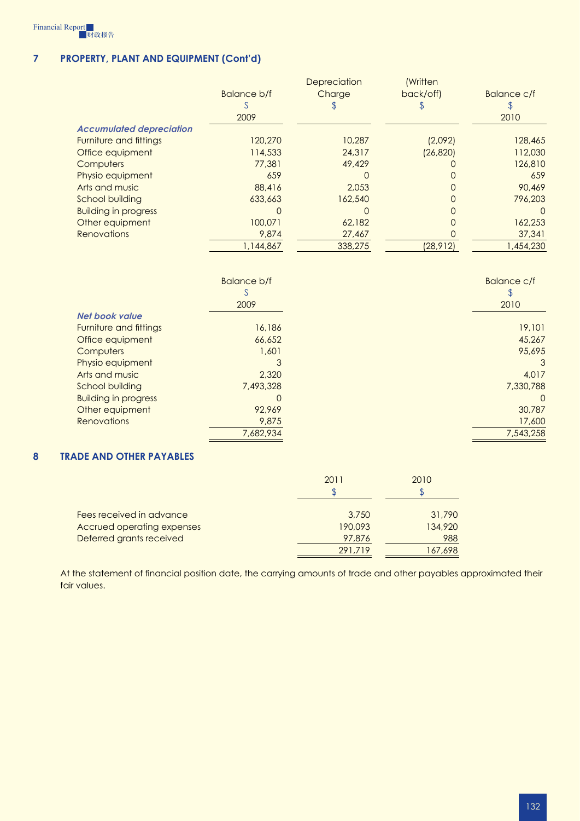

# **7 Property, plant and equipment (Cont'd)**

|                                 |             | Depreciation | (Written  |             |
|---------------------------------|-------------|--------------|-----------|-------------|
|                                 | Balance b/f | Charge       | back/off) | Balance c/f |
|                                 |             |              |           |             |
|                                 | 2009        |              |           | 2010        |
| <b>Accumulated depreciation</b> |             |              |           |             |
| Furniture and fittings          | 120,270     | 10,287       | (2,092)   | 128,465     |
| Office equipment                | 114,533     | 24,317       | (26, 820) | 112,030     |
| <b>Computers</b>                | 77,381      | 49,429       |           | 126,810     |
| Physio equipment                | 659         |              |           | 659         |
| Arts and music                  | 88,416      | 2.053        |           | 90,469      |
| School building                 | 633,663     | 162,540      |           | 796,203     |
| <b>Building in progress</b>     |             |              |           |             |
| Other equipment                 | 100,071     | 62,182       |           | 162,253     |
| <b>Renovations</b>              | 9,874       | 27,467       |           | 37,341      |
|                                 | 1,144,867   | 338,275      | (28, 912) | 1,454,230   |

|                             | <b>Balance b/f</b> | <b>Balance c/f</b> |
|-----------------------------|--------------------|--------------------|
|                             | 2009               | 2010               |
| <b>Net book value</b>       |                    |                    |
| Furniture and fittings      | 16,186             | 19,101             |
| Office equipment            | 66,652             | 45,267             |
| Computers                   | 1,601              | 95,695             |
| Physio equipment            | 3                  | 3                  |
| Arts and music              | 2,320              | 4,017              |
| School building             | 7,493,328          | 7,330,788          |
| <b>Building in progress</b> | 0                  | $\left($           |
| Other equipment             | 92,969             | 30,787             |
| <b>Renovations</b>          | 9,875              | 17,600             |
|                             | 7,682,934          | 7,543,258          |

# **8 Trade and other payables**

| 2011    | 2010    |
|---------|---------|
| 3.750   | 31,790  |
| 190,093 | 134,920 |
| 97,876  | 988     |
| 291,719 | 167,698 |
|         |         |

At the statement of financial position date, the carrying amounts of trade and other payables approximated their fair values.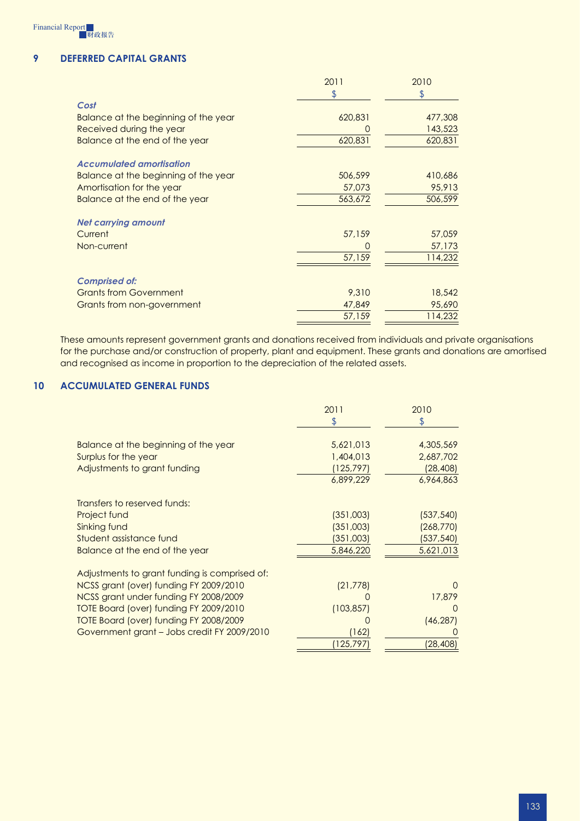

# **9 Deferred capital grants**

|                                      | 2011    | 2010    |
|--------------------------------------|---------|---------|
|                                      | \$      | \$      |
| Cost                                 |         |         |
| Balance at the beginning of the year | 620,831 | 477,308 |
| Received during the year             | 0       | 143,523 |
| Balance at the end of the year       | 620,831 | 620,831 |
| <b>Accumulated amortisation</b>      |         |         |
| Balance at the beginning of the year | 506,599 | 410,686 |
| Amortisation for the year            | 57,073  | 95,913  |
| Balance at the end of the year       | 563,672 | 506,599 |
| <b>Net carrying amount</b>           |         |         |
| Current                              | 57,159  | 57,059  |
| Non-current                          |         | 57,173  |
|                                      | 57,159  | 114,232 |
| <b>Comprised of:</b>                 |         |         |
| <b>Grants from Government</b>        | 9,310   | 18,542  |
| Grants from non-government           | 47,849  | 95,690  |
|                                      | 57,159  | 114,232 |

These amounts represent government grants and donations received from individuals and private organisations for the purchase and/or construction of property, plant and equipment. These grants and donations are amortised and recognised as income in proportion to the depreciation of the related assets.

#### **10 Accumulated general funds**

|                                               | 2011       | 2010       |
|-----------------------------------------------|------------|------------|
|                                               |            | \$         |
| Balance at the beginning of the year          | 5,621,013  | 4,305,569  |
| Surplus for the year                          | 1,404,013  | 2,687,702  |
| Adjustments to grant funding                  | (125, 797) | (28, 408)  |
|                                               | 6,899,229  | 6,964,863  |
| Transfers to reserved funds:                  |            |            |
| Project fund                                  | (351,003)  | (537, 540) |
| Sinking fund                                  | (351,003)  | (268, 770) |
| Student assistance fund                       | (351,003)  | (537, 540) |
| Balance at the end of the year                | 5,846,220  | 5,621,013  |
| Adjustments to grant funding is comprised of: |            |            |
| NCSS grant (over) funding FY 2009/2010        | (21, 778)  |            |
| NCSS grant under funding FY 2008/2009         | $\left($   | 17,879     |
| TOTE Board (over) funding FY 2009/2010        | (103, 857) | $\left($   |
| TOTE Board (over) funding FY 2008/2009        | O          | (46, 287)  |
| Government grant - Jobs credit FY 2009/2010   | (162)      |            |
|                                               | (125, 797) | (28, 408)  |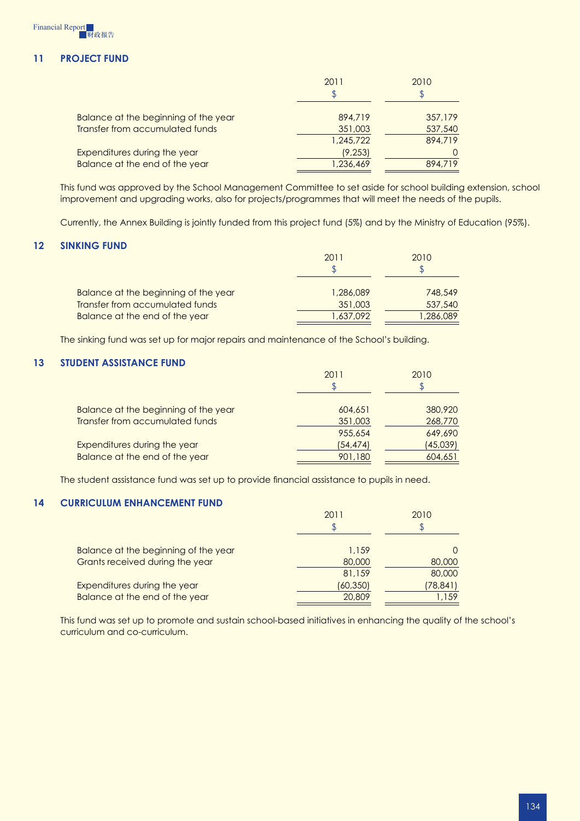

## **11 PROJECT Fund**

|                                      | 2011<br>\$ | 2010<br>\$ |
|--------------------------------------|------------|------------|
| Balance at the beginning of the year | 894,719    | 357,179    |
| Transfer from accumulated funds      | 351,003    | 537,540    |
|                                      | 1,245,722  | 894,719    |
| Expenditures during the year         | (9, 253)   |            |
| Balance at the end of the year       | 1,236,469  | 894,719    |
|                                      |            |            |

This fund was approved by the School Management Committee to set aside for school building extension, school improvement and upgrading works, also for projects/programmes that will meet the needs of the pupils.

Currently, the Annex Building is jointly funded from this project fund (5%) and by the Ministry of Education (95%).

#### **12 Sinking fund**

|                                      | 2011      | 2010    |
|--------------------------------------|-----------|---------|
|                                      |           |         |
| Balance at the beginning of the year | 1,286,089 | 748,549 |
| Transfer from accumulated funds      | 351,003   | 537,540 |
| Balance at the end of the year       | 1,637,092 | 286.089 |

The sinking fund was set up for major repairs and maintenance of the School's building.

# **13 Student assistance fund**

|                                      | 2011      | 2010     |
|--------------------------------------|-----------|----------|
|                                      |           |          |
| Balance at the beginning of the year | 604,651   | 380,920  |
| Transfer from accumulated funds      | 351,003   | 268,770  |
|                                      | 955,654   | 649,690  |
| Expenditures during the year         | (54, 474) | (45,039) |
| Balance at the end of the year       | 901,180   | 604,651  |
|                                      |           |          |

The student assistance fund was set up to provide financial assistance to pupils in need.

#### **14 Curriculum enhancement fund**

|                                      | 2011     | 2010      |
|--------------------------------------|----------|-----------|
| Balance at the beginning of the year | 1,159    | $\Omega$  |
| Grants received during the year      | 80,000   | 80,000    |
|                                      | 81.159   | 80,000    |
| Expenditures during the year         | (60,350) | (78, 841) |
| Balance at the end of the year       | 20,809   | 1,159     |

This fund was set up to promote and sustain school-based initiatives in enhancing the quality of the school's curriculum and co-curriculum.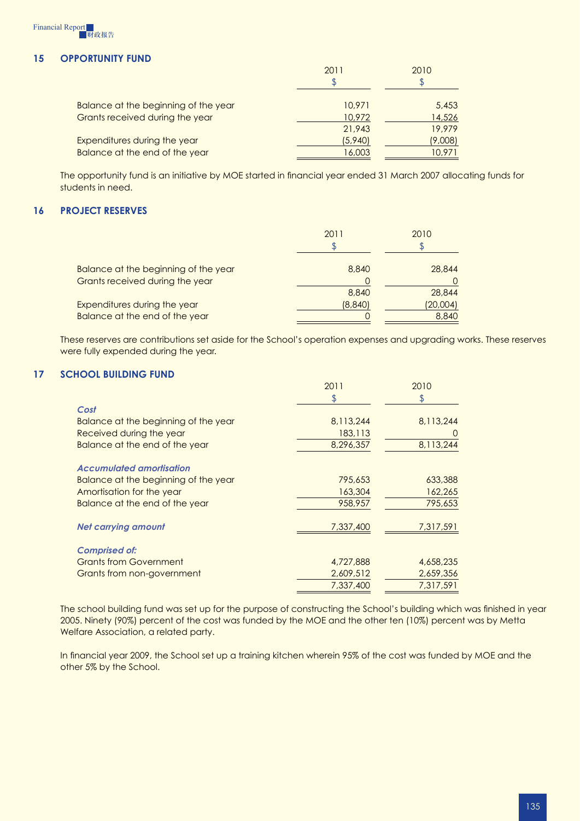## **15 Opportunity fund**

|                                      | 2011    | 2010    |
|--------------------------------------|---------|---------|
|                                      |         |         |
| Balance at the beginning of the year | 10.971  | 5,453   |
| Grants received during the year      | 10,972  | 14,526  |
|                                      | 21,943  | 19,979  |
| Expenditures during the year         | (5,940) | (9,008) |
| Balance at the end of the year       | 16,003  | 10,971  |

The opportunity fund is an initiative by MOE started in financial year ended 31 March 2007 allocating funds for students in need.

## **16 Project reserves**

|                                      | 2011     | 2010     |
|--------------------------------------|----------|----------|
| Balance at the beginning of the year | 8,840    | 28,844   |
| Grants received during the year      |          |          |
|                                      | 8,840    | 28,844   |
| Expenditures during the year         | (8, 840) | (20,004) |
| Balance at the end of the year       |          | 8,840    |

These reserves are contributions set aside for the School's operation expenses and upgrading works. These reserves were fully expended during the year.

#### **17 School building fund**

|                                      | 2011      | 2010      |
|--------------------------------------|-----------|-----------|
|                                      |           | \$        |
| Cost                                 |           |           |
| Balance at the beginning of the year | 8,113,244 | 8,113,244 |
| Received during the year             | 183,113   | $\Omega$  |
| Balance at the end of the year       | 8,296,357 | 8,113,244 |
| <b>Accumulated amortisation</b>      |           |           |
| Balance at the beginning of the year | 795,653   | 633,388   |
| Amortisation for the year            | 163,304   | 162,265   |
| Balance at the end of the year       | 958,957   | 795,653   |
| <b>Net carrying amount</b>           | 7,337,400 | 7,317,591 |
| <b>Comprised of:</b>                 |           |           |
| <b>Grants from Government</b>        | 4,727,888 | 4,658,235 |
| Grants from non-government           | 2,609,512 | 2,659,356 |
|                                      | 7,337,400 | 7.317.591 |

The school building fund was set up for the purpose of constructing the School's building which was finished in year 2005. Ninety (90%) percent of the cost was funded by the MOE and the other ten (10%) percent was by Metta Welfare Association, a related party.

In financial year 2009, the School set up a training kitchen wherein 95% of the cost was funded by MOE and the other 5% by the School.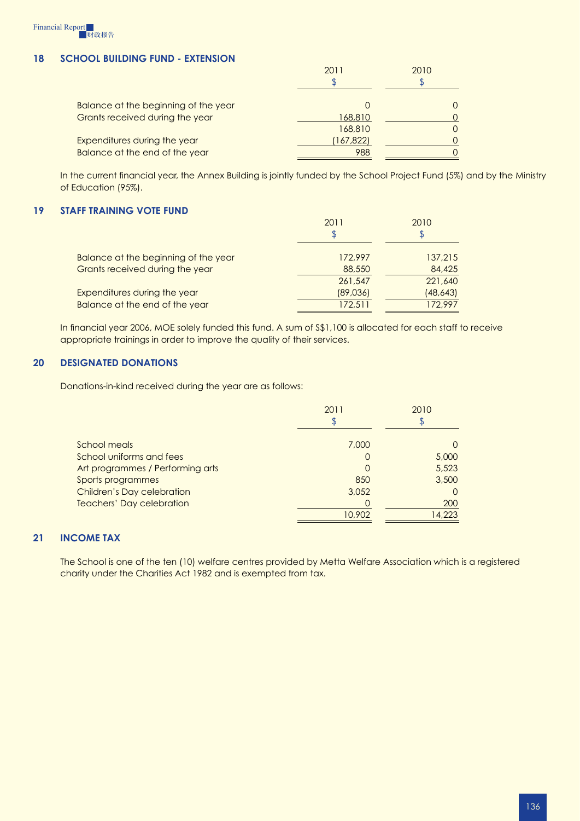

## **18 School building fund - extension**

|                                      | 201        | 2010     |
|--------------------------------------|------------|----------|
|                                      |            |          |
| Balance at the beginning of the year |            | $\Omega$ |
| Grants received during the year      | 168,810    | 0        |
|                                      | 168,810    | 0        |
| Expenditures during the year         | (167, 822) | $\Omega$ |
| Balance at the end of the year       | 988        |          |

In the current financial year, the Annex Building is jointly funded by the School Project Fund (5%) and by the Ministry of Education (95%).

## **19 Staff training vote fund**

|                                      | 2011     | 2010      |
|--------------------------------------|----------|-----------|
| Balance at the beginning of the year | 172,997  | 137,215   |
| Grants received during the year      | 88,550   | 84,425    |
|                                      | 261,547  | 221,640   |
| Expenditures during the year         | (89,036) | (48, 643) |
| Balance at the end of the year       | 172,511  | 172.997   |
|                                      |          |           |

In financial year 2006, MOE solely funded this fund. A sum of S\$1,100 is allocated for each staff to receive appropriate trainings in order to improve the quality of their services.

## **20 Designated donations**

Donations-in-kind received during the year are as follows:

|                                   | 2011   | 2010             |
|-----------------------------------|--------|------------------|
| School meals                      | 7,000  | $\left( \right)$ |
| School uniforms and fees          |        | 5,000            |
| Art programmes / Performing arts  |        | 5,523            |
| Sports programmes                 | 850    | 3,500            |
| <b>Children's Day celebration</b> | 3.052  | O                |
| <b>Teachers' Day celebration</b>  |        | 200              |
|                                   | 10,902 | 14,223           |

## **21 Income tax**

The School is one of the ten (10) welfare centres provided by Metta Welfare Association which is a registered charity under the Charities Act 1982 and is exempted from tax.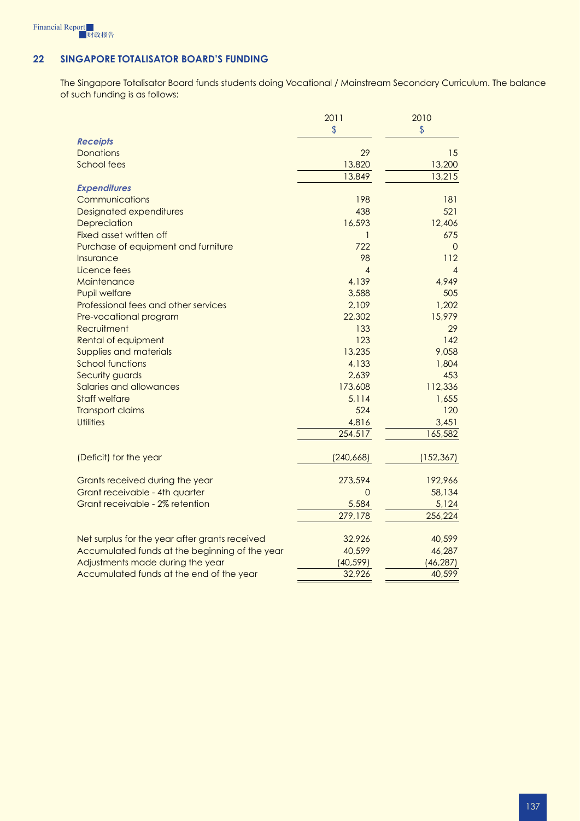

# **22 Singapore Totalisator Board's funding**

The Singapore Totalisator Board funds students doing Vocational / Mainstream Secondary Curriculum. The balance of such funding is as follows:

|                                                | 2011           | 2010                    |
|------------------------------------------------|----------------|-------------------------|
|                                                | $\frac{1}{2}$  | $\sqrt[6]{\frac{1}{2}}$ |
| <b>Receipts</b>                                |                |                         |
| <b>Donations</b>                               | 29             | 15                      |
| <b>School fees</b>                             | 13,820         | 13,200                  |
|                                                | 13,849         | 13,215                  |
| <b>Expenditures</b>                            |                |                         |
| Communications                                 | 198            | 181                     |
| <b>Designated expenditures</b>                 | 438            | 521                     |
| Depreciation                                   | 16,593         | 12,406                  |
| Fixed asset written off                        |                | 675                     |
| Purchase of equipment and furniture            | 722            | $\Omega$                |
| Insurance                                      | 98             | 112                     |
| Licence fees                                   | $\overline{4}$ | $\overline{4}$          |
| Maintenance                                    | 4,139          | 4,949                   |
| Pupil welfare                                  | 3,588          | 505                     |
| Professional fees and other services           | 2,109          | 1,202                   |
| Pre-vocational program                         | 22,302         | 15,979                  |
| Recruitment                                    | 133            | 29                      |
| Rental of equipment                            | 123            | 142                     |
| Supplies and materials                         | 13,235         | 9,058                   |
| <b>School functions</b>                        | 4,133          | 1,804                   |
| Security guards                                | 2,639          | 453                     |
| Salaries and allowances                        | 173,608        | 112,336                 |
| <b>Staff welfare</b>                           | 5,114          | 1,655                   |
| <b>Transport claims</b>                        | 524            | 120                     |
| <b>Utilities</b>                               | 4,816          | 3,451                   |
|                                                | 254,517        | 165,582                 |
| (Deficit) for the year                         | (240, 668)     | (152, 367)              |
| Grants received during the year                | 273,594        | 192,966                 |
| Grant receivable - 4th quarter                 | $\overline{0}$ | 58,134                  |
| Grant receivable - 2% retention                | 5,584          | 5,124                   |
|                                                | 279,178        | 256,224                 |
| Net surplus for the year after grants received | 32,926         | 40,599                  |
| Accumulated funds at the beginning of the year | 40,599         | 46,287                  |
| Adjustments made during the year               | (40, 599)      | (46, 287)               |
| Accumulated funds at the end of the year       | 32,926         | 40,599                  |
|                                                |                |                         |